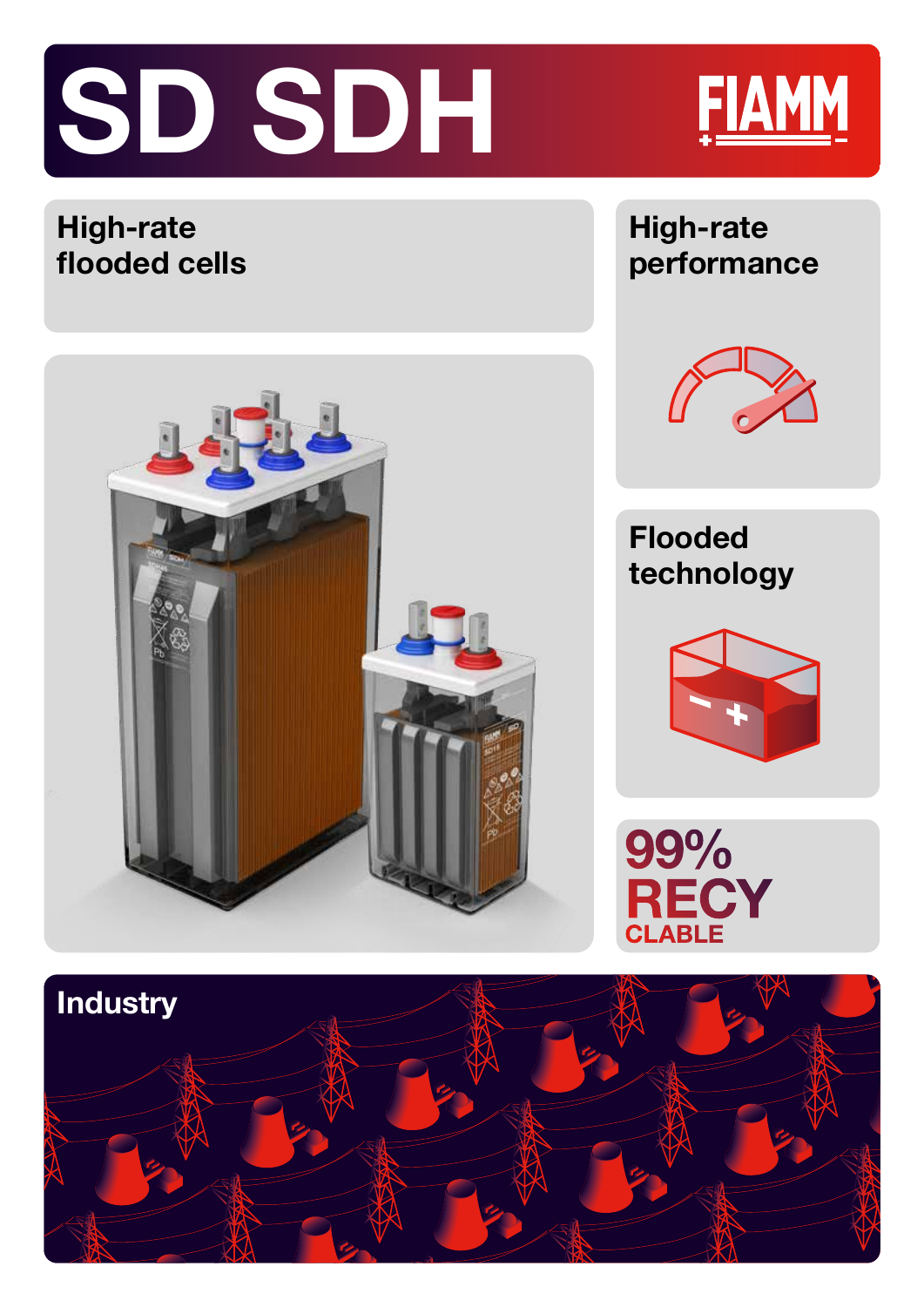



# **High-rate flooded cells**



### **High-rate performance**



# **Flooded technology**